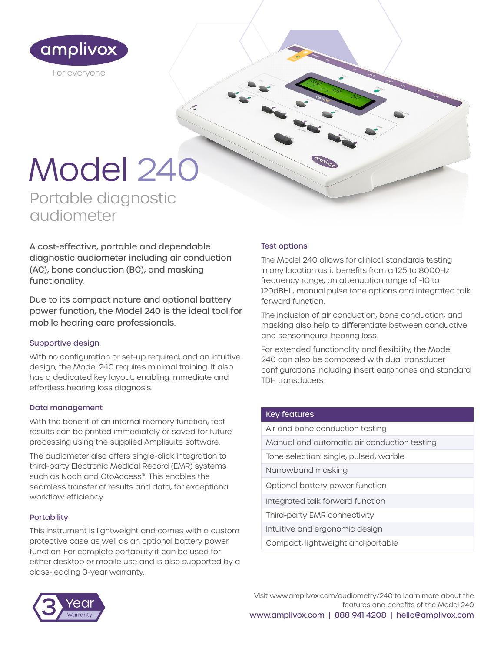

# Model 240

 $\epsilon$ 

Portable diagnostic audiometer

A cost-effective, portable and dependable diagnostic audiometer including air conduction (AC), bone conduction (BC), and masking functionality.

Due to its compact nature and optional battery power function, the Model 240 is the ideal tool for mobile hearing care professionals.

#### Supportive design

With no configuration or set-up required, and an intuitive design, the Model 240 requires minimal training. It also has a dedicated key layout, enabling immediate and effortless hearing loss diagnosis.

#### Data management

With the benefit of an internal memory function, test results can be printed immediately or saved for future processing using the supplied Amplisuite software.

The audiometer also offers single-click integration to third-party Electronic Medical Record (EMR) systems such as Noah and OtoAccess®. This enables the seamless transfer of results and data, for exceptional workflow efficiency.

#### **Portability**

This instrument is lightweight and comes with a custom protective case as well as an optional battery power function. For complete portability it can be used for either desktop or mobile use and is also supported by a class-leading 3-year warranty.

#### Test options

The Model 240 allows for clinical standards testing in any location as it benefits from a 125 to 8000Hz frequency range, an attenuation range of -10 to 120dBHL, manual pulse tone options and integrated talk forward function.

The inclusion of air conduction, bone conduction, and masking also help to differentiate between conductive and sensorineural hearing loss.

For extended functionality and flexibility, the Model 240 can also be composed with dual transducer configurations including insert earphones and standard TDH transducers.

#### Key features

| Air and bone conduction testing             |
|---------------------------------------------|
| Manual and automatic air conduction testing |
| Tone selection: single, pulsed, warble      |
| Narrowband masking                          |
| Optional battery power function             |
| Integrated talk forward function            |
| Third-party EMR connectivity                |
| Intuitive and ergonomic design              |
| Compact, lightweight and portable           |
|                                             |



Visit www.amplivox.com/audiometry/240 to learn more about the features and benefits of the Model 240 www.amplivox.com | 888 941 4208 | hello@amplivox.com